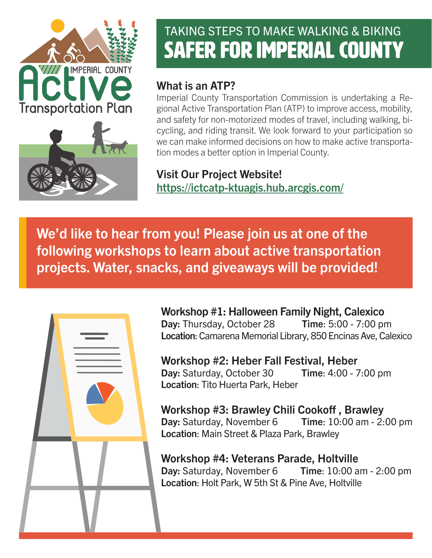

# TAKING STEPS TO MAKE WALKING & BIKING SAFER FOR IMPERIAL COUNTY

# What is an ATP?

Imperial County Transportation Commission is undertaking a Regional Active Transportation Plan (ATP) to improve access, mobility, and safety for non-motorized modes of travel, including walking, bicycling, and riding transit. We look forward to your participation so we can make informed decisions on how to make active transportation modes a better option in Imperial County.

Visit Our Project Website! https://ictcatp-ktuagis.hub.arcgis.com/

We'd like to hear from you! Please join us at one of the following workshops to learn about active transportation projects. Water, snacks, and giveaways will be provided!



Workshop #1: Halloween Family Night, Calexico Day: Thursday, October 28 Time: 5:00 - 7:00 pm Location: Camarena Memorial Library, 850 Encinas Ave, Calexico

Workshop #2: Heber Fall Festival, Heber Day: Saturday, October 30 Time: 4:00 - 7:00 pm Location: Tito Huerta Park, Heber

Workshop #3: Brawley Chili Cookoff , Brawley Day: Saturday, November 6 Time: 10:00 am - 2:00 pm Location: Main Street & Plaza Park, Brawley

Workshop #4: Veterans Parade, Holtville Day: Saturday, November 6 Time: 10:00 am - 2:00 pm Location: Holt Park, W 5th St & Pine Ave, Holtville